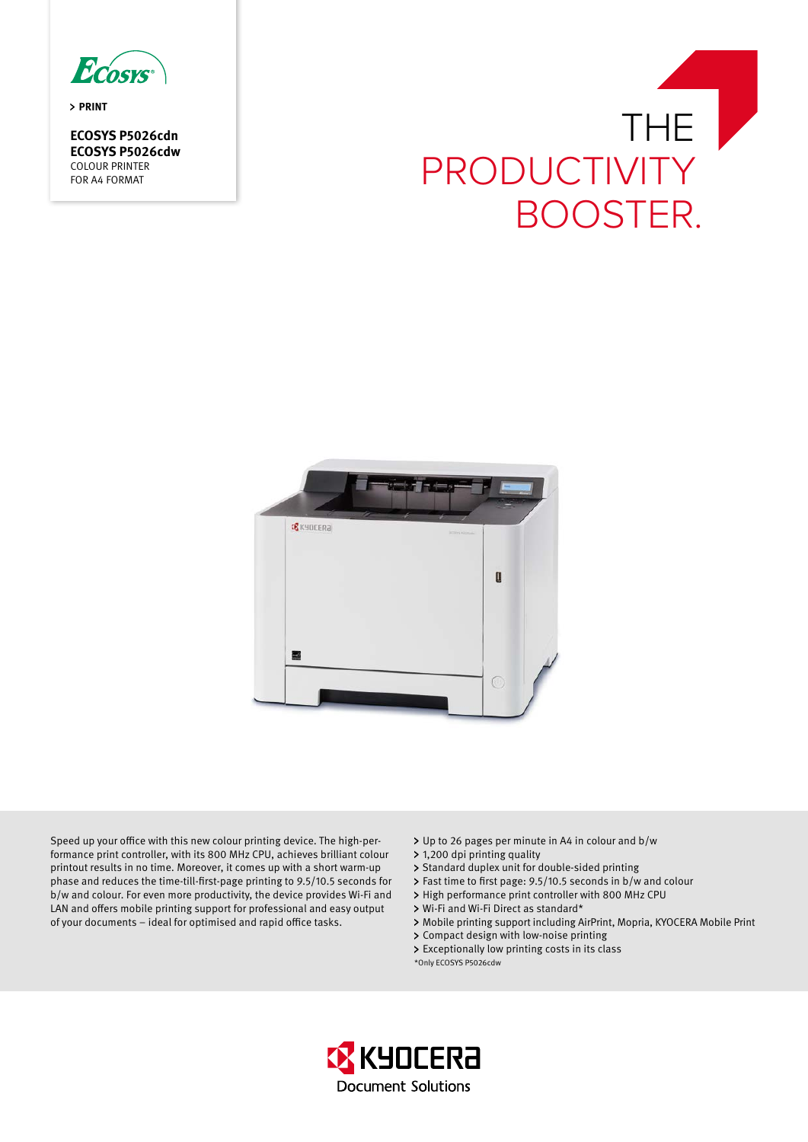

**PRINT** 

**ECOSYS P5026cdn ECOSYS P5026cdw** COLOUR PRINTER FOR A4 FORMAT





Speed up your office with this new colour printing device. The high-performance print controller, with its 800 MHz CPU, achieves brilliant colour printout results in no time. Moreover, it comes up with a short warm-up phase and reduces the time-till-first-page printing to 9.5/10.5 seconds for b/w and colour. For even more productivity, the device provides Wi-Fi and LAN and offers mobile printing support for professional and easy output of your documents – ideal for optimised and rapid office tasks.

- Up to 26 pages per minute in A4 in colour and b/w
- 1,200 dpi printing quality
- Standard duplex unit for double-sided printing
- Fast time to first page: 9.5/10.5 seconds in b/w and colour
- > High performance print controller with 800 MHz CPU
- Wi-Fi and Wi-Fi Direct as standard\*
- Mobile printing support including AirPrint, Mopria, KYOCERA Mobile Print
- Compact design with low-noise printing
- Exceptionally low printing costs in its class
- \*Only ECOSYS P5026cdw